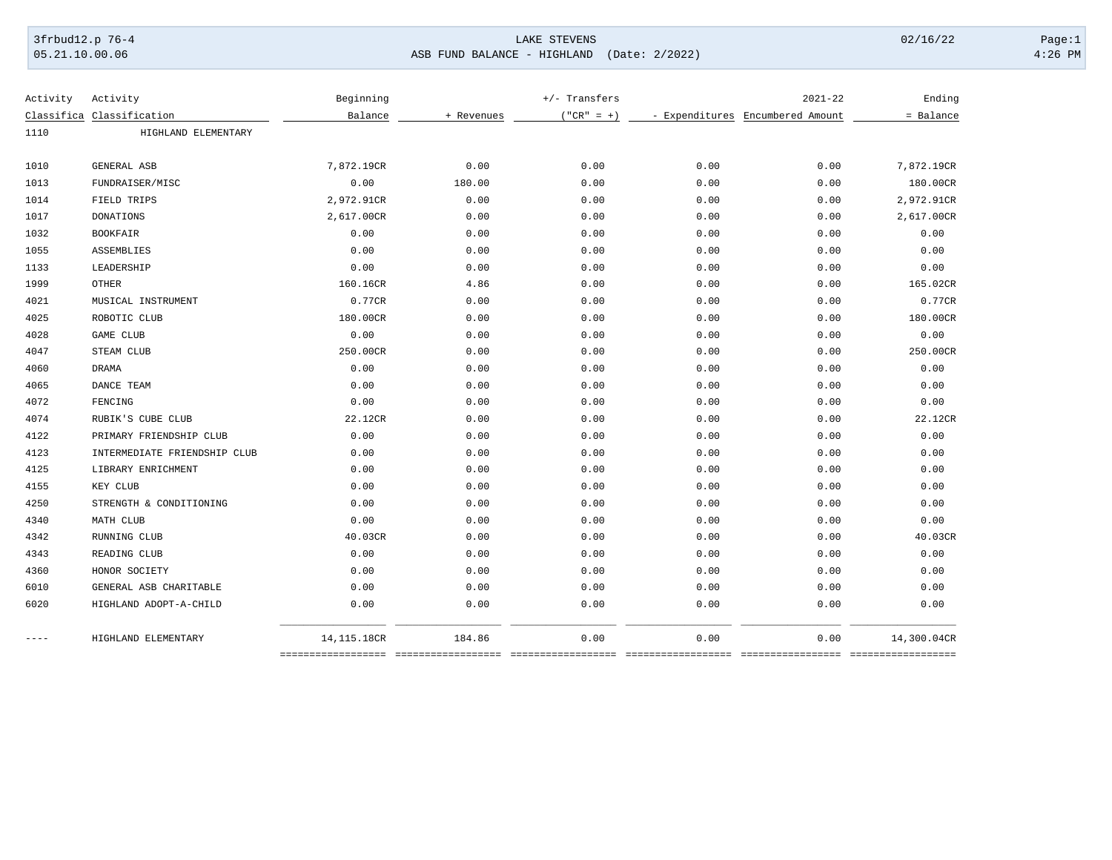3frbud12.p 76-4 LAKE STEVENS 02/16/22 Page:1 05.21.10.00.06 ASB FUND BALANCE - HIGHLAND (Date: 2/2022) 4:26 PM

| Activity  | Activity                     | Beginning   |            |              | +/- Transfers |                                  | Ending      |
|-----------|------------------------------|-------------|------------|--------------|---------------|----------------------------------|-------------|
|           | Classifica Classification    | Balance     | + Revenues | $("CR" = +)$ |               | - Expenditures Encumbered Amount | = Balance   |
| 1110      | HIGHLAND ELEMENTARY          |             |            |              |               |                                  |             |
|           |                              |             |            |              |               |                                  |             |
| 1010      | GENERAL ASB                  | 7,872.19CR  | 0.00       | 0.00         | 0.00          | 0.00                             | 7,872.19CR  |
| 1013      | FUNDRAISER/MISC              | 0.00        | 180.00     | 0.00         | 0.00          | 0.00                             | 180.00CR    |
| 1014      | FIELD TRIPS                  | 2,972.91CR  | 0.00       | 0.00         | 0.00          | 0.00                             | 2,972.91CR  |
| 1017      | <b>DONATIONS</b>             | 2,617.00CR  | 0.00       | 0.00         | 0.00          | 0.00                             | 2,617.00CR  |
| 1032      | <b>BOOKFAIR</b>              | 0.00        | 0.00       | 0.00         | 0.00          | 0.00                             | 0.00        |
| 1055      | ASSEMBLIES                   | 0.00        | 0.00       | 0.00         | 0.00          | 0.00                             | 0.00        |
| 1133      | LEADERSHIP                   | 0.00        | 0.00       | 0.00         | 0.00          | 0.00                             | 0.00        |
| 1999      | <b>OTHER</b>                 | 160.16CR    | 4.86       | 0.00         | 0.00          | 0.00                             | 165.02CR    |
| 4021      | MUSICAL INSTRUMENT           | 0.77CR      | 0.00       | 0.00         | 0.00          | 0.00                             | 0.77CR      |
| 4025      | ROBOTIC CLUB                 | 180.00CR    | 0.00       | 0.00         | 0.00          | 0.00                             | 180.00CR    |
| 4028      | GAME CLUB                    | 0.00        | 0.00       | 0.00         | 0.00          | 0.00                             | 0.00        |
| 4047      | STEAM CLUB                   | 250.00CR    | 0.00       | 0.00         | 0.00          | 0.00                             | 250.00CR    |
| 4060      | DRAMA                        | 0.00        | 0.00       | 0.00         | 0.00          | 0.00                             | 0.00        |
| 4065      | DANCE TEAM                   | 0.00        | 0.00       | 0.00         | 0.00          | 0.00                             | 0.00        |
| 4072      | FENCING                      | 0.00        | 0.00       | 0.00         | 0.00          | 0.00                             | 0.00        |
| 4074      | RUBIK'S CUBE CLUB            | 22.12CR     | 0.00       | 0.00         | 0.00          | 0.00                             | 22.12CR     |
| 4122      | PRIMARY FRIENDSHIP CLUB      | 0.00        | 0.00       | 0.00         | 0.00          | 0.00                             | 0.00        |
| 4123      | INTERMEDIATE FRIENDSHIP CLUB | 0.00        | 0.00       | 0.00         | 0.00          | 0.00                             | 0.00        |
| 4125      | LIBRARY ENRICHMENT           | 0.00        | 0.00       | 0.00         | 0.00          | 0.00                             | 0.00        |
| 4155      | KEY CLUB                     | 0.00        | 0.00       | 0.00         | 0.00          | 0.00                             | 0.00        |
| 4250      | STRENGTH & CONDITIONING      | 0.00        | 0.00       | 0.00         | 0.00          | 0.00                             | 0.00        |
| 4340      | MATH CLUB                    | 0.00        | 0.00       | 0.00         | 0.00          | 0.00                             | 0.00        |
| 4342      | RUNNING CLUB                 | 40.03CR     | 0.00       | 0.00         | 0.00          | 0.00                             | 40.03CR     |
| 4343      | READING CLUB                 | 0.00        | 0.00       | 0.00         | 0.00          | 0.00                             | 0.00        |
| 4360      | HONOR SOCIETY                | 0.00        | 0.00       | 0.00         | 0.00          | 0.00                             | 0.00        |
| 6010      | GENERAL ASB CHARITABLE       | 0.00        | 0.00       | 0.00         | 0.00          | 0.00                             | 0.00        |
| 6020      | HIGHLAND ADOPT-A-CHILD       | 0.00        | 0.00       | 0.00         | 0.00          | 0.00                             | 0.00        |
| $- - - -$ | HIGHLAND ELEMENTARY          | 14,115.18CR | 184.86     | 0.00         | 0.00          | 0.00                             | 14,300.04CR |
|           |                              |             |            |              |               |                                  |             |